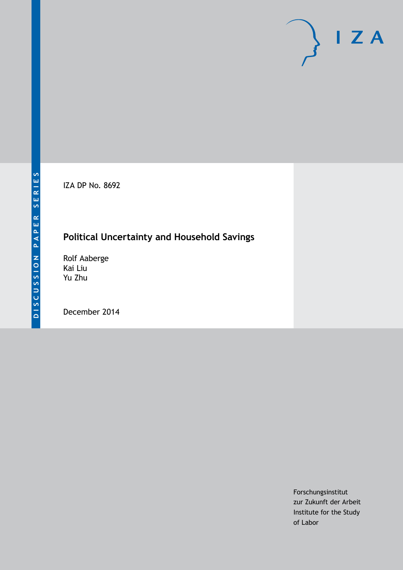IZA DP No. 8692

## **Political Uncertainty and Household Savings**

Rolf Aaberge Kai Liu Yu Zhu

December 2014

Forschungsinstitut zur Zukunft der Arbeit Institute for the Study of Labor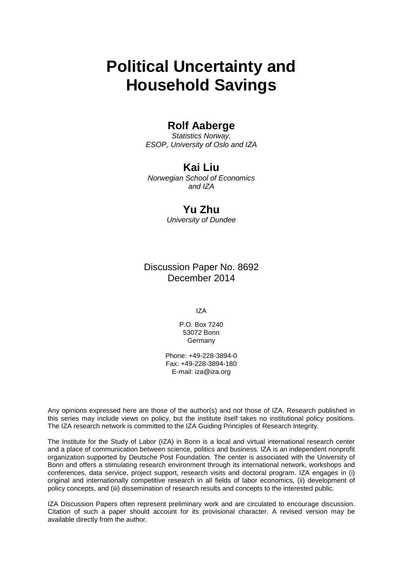# **Political Uncertainty and Household Savings**

### **Rolf Aaberge**

*Statistics Norway, ESOP, University of Oslo and IZA*

### **Kai Liu**

*Norwegian School of Economics and IZA*

### **Yu Zhu**

*University of Dundee*

Discussion Paper No. 8692 December 2014

IZA

P.O. Box 7240 53072 Bonn **Germany** 

Phone: +49-228-3894-0 Fax: +49-228-3894-180 E-mail: [iza@iza.org](mailto:iza@iza.org)

Any opinions expressed here are those of the author(s) and not those of IZA. Research published in this series may include views on policy, but the institute itself takes no institutional policy positions. The IZA research network is committed to the IZA Guiding Principles of Research Integrity.

The Institute for the Study of Labor (IZA) in Bonn is a local and virtual international research center and a place of communication between science, politics and business. IZA is an independent nonprofit organization supported by Deutsche Post Foundation. The center is associated with the University of Bonn and offers a stimulating research environment through its international network, workshops and conferences, data service, project support, research visits and doctoral program. IZA engages in (i) original and internationally competitive research in all fields of labor economics, (ii) development of policy concepts, and (iii) dissemination of research results and concepts to the interested public.

<span id="page-1-0"></span>IZA Discussion Papers often represent preliminary work and are circulated to encourage discussion. Citation of such a paper should account for its provisional character. A revised version may be available directly from the author.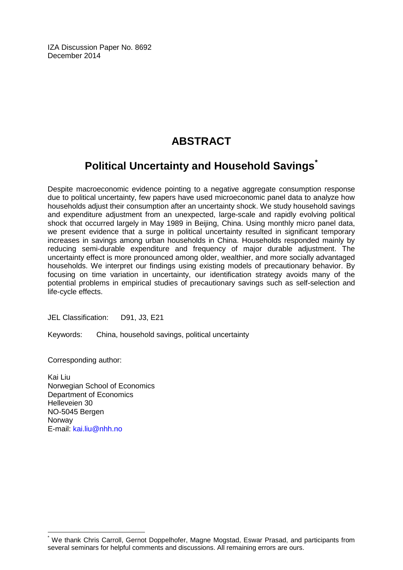IZA Discussion Paper No. 8692 December 2014

# **ABSTRACT**

# **Political Uncertainty and Household Savings[\\*](#page-1-0)**

Despite macroeconomic evidence pointing to a negative aggregate consumption response due to political uncertainty, few papers have used microeconomic panel data to analyze how households adjust their consumption after an uncertainty shock. We study household savings and expenditure adjustment from an unexpected, large-scale and rapidly evolving political shock that occurred largely in May 1989 in Beijing, China. Using monthly micro panel data, we present evidence that a surge in political uncertainty resulted in significant temporary increases in savings among urban households in China. Households responded mainly by reducing semi-durable expenditure and frequency of major durable adjustment. The uncertainty effect is more pronounced among older, wealthier, and more socially advantaged households. We interpret our findings using existing models of precautionary behavior. By focusing on time variation in uncertainty, our identification strategy avoids many of the potential problems in empirical studies of precautionary savings such as self-selection and life-cycle effects.

JEL Classification: D91, J3, E21

Keywords: China, household savings, political uncertainty

Corresponding author:

Kai Liu Norwegian School of Economics Department of Economics Helleveien 30 NO-5045 Bergen Norway E-mail: [kai.liu@nhh.no](mailto:kai.liu@nhh.no)

We thank Chris Carroll, Gernot Doppelhofer, Magne Mogstad, Eswar Prasad, and participants from several seminars for helpful comments and discussions. All remaining errors are ours.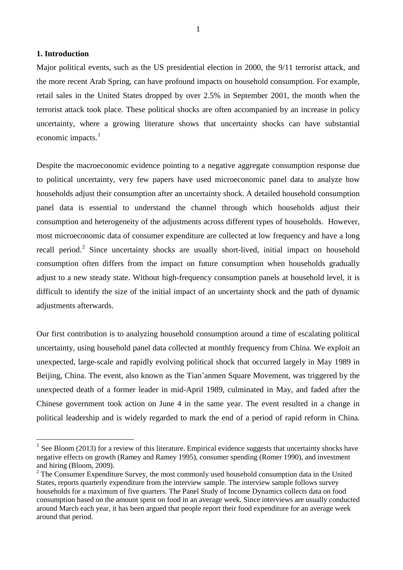#### **1. Introduction**

<u>.</u>

Major political events, such as the US presidential election in 2000, the 9/11 terrorist attack, and the more recent Arab Spring, can have profound impacts on household consumption. For example, retail sales in the United States dropped by over 2.5% in September 2001, the month when the terrorist attack took place. These political shocks are often accompanied by an increase in policy uncertainty, where a growing literature shows that uncertainty shocks can have substantial economic impacts. $<sup>1</sup>$  $<sup>1</sup>$  $<sup>1</sup>$ </sup>

Despite the macroeconomic evidence pointing to a negative aggregate consumption response due to political uncertainty, very few papers have used microeconomic panel data to analyze how households adjust their consumption after an uncertainty shock. A detailed household consumption panel data is essential to understand the channel through which households adjust their consumption and heterogeneity of the adjustments across different types of households. However, most microeconomic data of consumer expenditure are collected at low frequency and have a long recall period.<sup>[2](#page-3-1)</sup> Since uncertainty shocks are usually short-lived, initial impact on household consumption often differs from the impact on future consumption when households gradually adjust to a new steady state. Without high-frequency consumption panels at household level, it is difficult to identify the size of the initial impact of an uncertainty shock and the path of dynamic adjustments afterwards.

Our first contribution is to analyzing household consumption around a time of escalating political uncertainty, using household panel data collected at monthly frequency from China. We exploit an unexpected, large-scale and rapidly evolving political shock that occurred largely in May 1989 in Beijing, China. The event, also known as the Tian'anmen Square Movement, was triggered by the unexpected death of a former leader in mid-April 1989, culminated in May, and faded after the Chinese government took action on June 4 in the same year. The event resulted in a change in political leadership and is widely regarded to mark the end of a period of rapid reform in China.

<span id="page-3-0"></span> $1$  See Bloom (2013) for a review of this literature. Empirical evidence suggests that uncertainty shocks have negative effects on growth (Ramey and Ramey 1995), consumer spending (Romer 1990), and investment and hiring (Bloom, 2009).

<span id="page-3-1"></span><sup>&</sup>lt;sup>2</sup> The Consumer Expenditure Survey, the most commonly used household consumption data in the United States, reports quarterly expenditure from the interview sample. The interview sample follows survey households for a maximum of five quarters. The Panel Study of Income Dynamics collects data on food consumption based on the amount spent on food in an average week. Since interviews are usually conducted around March each year, it has been argued that people report their food expenditure for an average week around that period.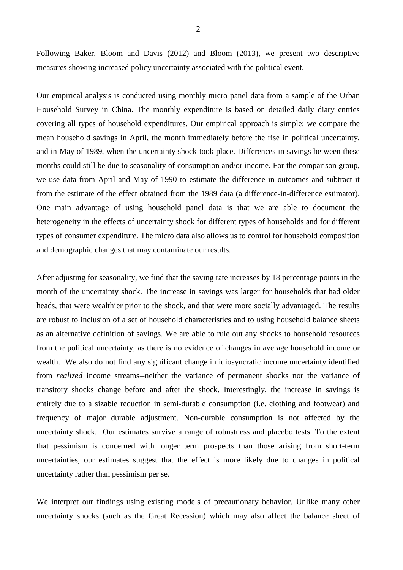Following Baker, Bloom and Davis (2012) and Bloom (2013), we present two descriptive measures showing increased policy uncertainty associated with the political event.

Our empirical analysis is conducted using monthly micro panel data from a sample of the Urban Household Survey in China. The monthly expenditure is based on detailed daily diary entries covering all types of household expenditures. Our empirical approach is simple: we compare the mean household savings in April, the month immediately before the rise in political uncertainty, and in May of 1989, when the uncertainty shock took place. Differences in savings between these months could still be due to seasonality of consumption and/or income. For the comparison group, we use data from April and May of 1990 to estimate the difference in outcomes and subtract it from the estimate of the effect obtained from the 1989 data (a difference-in-difference estimator). One main advantage of using household panel data is that we are able to document the heterogeneity in the effects of uncertainty shock for different types of households and for different types of consumer expenditure. The micro data also allows us to control for household composition and demographic changes that may contaminate our results.

After adjusting for seasonality, we find that the saving rate increases by 18 percentage points in the month of the uncertainty shock. The increase in savings was larger for households that had older heads, that were wealthier prior to the shock, and that were more socially advantaged. The results are robust to inclusion of a set of household characteristics and to using household balance sheets as an alternative definition of savings. We are able to rule out any shocks to household resources from the political uncertainty, as there is no evidence of changes in average household income or wealth. We also do not find any significant change in idiosyncratic income uncertainty identified from *realized* income streams--neither the variance of permanent shocks nor the variance of transitory shocks change before and after the shock. Interestingly, the increase in savings is entirely due to a sizable reduction in semi-durable consumption (i.e. clothing and footwear) and frequency of major durable adjustment. Non-durable consumption is not affected by the uncertainty shock. Our estimates survive a range of robustness and placebo tests. To the extent that pessimism is concerned with longer term prospects than those arising from short-term uncertainties, our estimates suggest that the effect is more likely due to changes in political uncertainty rather than pessimism per se.

We interpret our findings using existing models of precautionary behavior. Unlike many other uncertainty shocks (such as the Great Recession) which may also affect the balance sheet of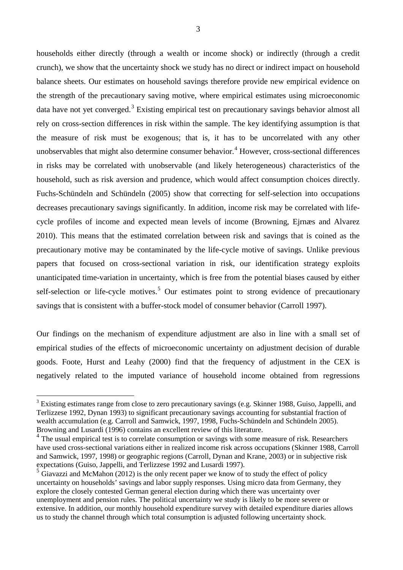households either directly (through a wealth or income shock) or indirectly (through a credit crunch), we show that the uncertainty shock we study has no direct or indirect impact on household balance sheets. Our estimates on household savings therefore provide new empirical evidence on the strength of the precautionary saving motive, where empirical estimates using microeconomic data have not yet converged.<sup>[3](#page-5-0)</sup> Existing empirical test on precautionary savings behavior almost all rely on cross-section differences in risk within the sample. The key identifying assumption is that the measure of risk must be exogenous; that is, it has to be uncorrelated with any other unobservables that might also determine consumer behavior.<sup>[4](#page-5-1)</sup> However, cross-sectional differences in risks may be correlated with unobservable (and likely heterogeneous) characteristics of the household, such as risk aversion and prudence, which would affect consumption choices directly. Fuchs-Schündeln and Schündeln (2005) show that correcting for self-selection into occupations decreases precautionary savings significantly. In addition, income risk may be correlated with lifecycle profiles of income and expected mean levels of income (Browning, Ejrnæs and Alvarez 2010). This means that the estimated correlation between risk and savings that is coined as the precautionary motive may be contaminated by the life-cycle motive of savings. Unlike previous papers that focused on cross-sectional variation in risk, our identification strategy exploits unanticipated time-variation in uncertainty, which is free from the potential biases caused by either self-selection or life-cycle motives.<sup>[5](#page-5-2)</sup> Our estimates point to strong evidence of precautionary savings that is consistent with a buffer-stock model of consumer behavior (Carroll 1997).

Our findings on the mechanism of expenditure adjustment are also in line with a small set of empirical studies of the effects of microeconomic uncertainty on adjustment decision of durable goods. Foote, Hurst and Leahy (2000) find that the frequency of adjustment in the CEX is negatively related to the imputed variance of household income obtained from regressions

<u>.</u>

<span id="page-5-0"></span><sup>&</sup>lt;sup>3</sup> Existing estimates range from close to zero precautionary savings (e.g. Skinner 1988, Guiso, Jappelli, and Terlizzese 1992, Dynan 1993) to significant precautionary savings accounting for substantial fraction of wealth accumulation (e.g. Carroll and Samwick, 1997, 1998, Fuchs-Schündeln and Schündeln 2005). Browning and Lusardi (1996) contains an excellent review of this literature.

<span id="page-5-1"></span><sup>&</sup>lt;sup>4</sup> The usual empirical test is to correlate consumption or savings with some measure of risk. Researchers have used cross-sectional variations either in realized income risk across occupations (Skinner 1988, Carroll and Samwick, 1997, 1998) or geographic regions (Carroll, Dynan and Krane, 2003) or in subjective risk expectations (Guiso, Jappelli, and Terlizzese 1992 and Lusardi 1997).

<span id="page-5-2"></span> $5$  Giavazzi and McMahon (2012) is the only recent paper we know of to study the effect of policy uncertainty on households' savings and labor supply responses. Using micro data from Germany, they explore the closely contested German general election during which there was uncertainty over unemployment and pension rules. The political uncertainty we study is likely to be more severe or extensive. In addition, our monthly household expenditure survey with detailed expenditure diaries allows us to study the channel through which total consumption is adjusted following uncertainty shock.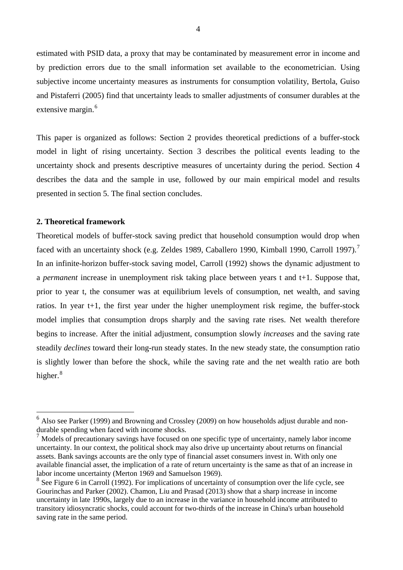estimated with PSID data, a proxy that may be contaminated by measurement error in income and by prediction errors due to the small information set available to the econometrician. Using subjective income uncertainty measures as instruments for consumption volatility, Bertola, Guiso and Pistaferri (2005) find that uncertainty leads to smaller adjustments of consumer durables at the extensive margin.<sup>[6](#page-6-0)</sup>

This paper is organized as follows: Section 2 provides theoretical predictions of a buffer-stock model in light of rising uncertainty. Section 3 describes the political events leading to the uncertainty shock and presents descriptive measures of uncertainty during the period. Section 4 describes the data and the sample in use, followed by our main empirical model and results presented in section 5. The final section concludes.

#### **2. Theoretical framework**

-

Theoretical models of buffer-stock saving predict that household consumption would drop when faced with an uncertainty shock (e.g. Zeldes 1989, Caballero 1990, Kimball 1990, Carroll 199[7](#page-6-1)).<sup>7</sup> In an infinite-horizon buffer-stock saving model, Carroll (1992) shows the dynamic adjustment to a *permanent* increase in unemployment risk taking place between years t and t+1. Suppose that, prior to year t, the consumer was at equilibrium levels of consumption, net wealth, and saving ratios. In year t+1, the first year under the higher unemployment risk regime, the buffer-stock model implies that consumption drops sharply and the saving rate rises. Net wealth therefore begins to increase. After the initial adjustment, consumption slowly *increases* and the saving rate steadily *declines* toward their long-run steady states. In the new steady state, the consumption ratio is slightly lower than before the shock, while the saving rate and the net wealth ratio are both higher.<sup>[8](#page-6-2)</sup>

<span id="page-6-0"></span> $<sup>6</sup>$  Also see Parker (1999) and Browning and Crossley (2009) on how households adjust durable and non-</sup> durable spending when faced with income shocks.

<span id="page-6-1"></span><sup>7</sup> Models of precautionary savings have focused on one specific type of uncertainty, namely labor income uncertainty. In our context, the political shock may also drive up uncertainty about returns on financial assets. Bank savings accounts are the only type of financial asset consumers invest in. With only one available financial asset, the implication of a rate of return uncertainty is the same as that of an increase in

<span id="page-6-2"></span> $8$  See Figure 6 in Carroll (1992). For implications of uncertainty of consumption over the life cycle, see Gourinchas and Parker (2002). Chamon, Liu and Prasad (2013) show that a sharp increase in income uncertainty in late 1990s, largely due to an increase in the variance in household income attributed to transitory idiosyncratic shocks, could account for two-thirds of the increase in China's urban household saving rate in the same period.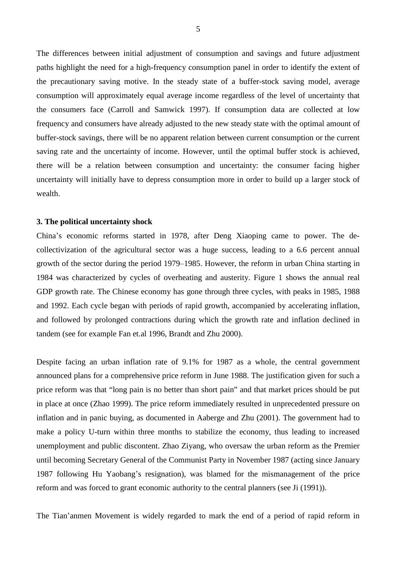The differences between initial adjustment of consumption and savings and future adjustment paths highlight the need for a high-frequency consumption panel in order to identify the extent of the precautionary saving motive. In the steady state of a buffer-stock saving model, average consumption will approximately equal average income regardless of the level of uncertainty that the consumers face (Carroll and Samwick 1997). If consumption data are collected at low frequency and consumers have already adjusted to the new steady state with the optimal amount of buffer-stock savings, there will be no apparent relation between current consumption or the current saving rate and the uncertainty of income. However, until the optimal buffer stock is achieved, there will be a relation between consumption and uncertainty: the consumer facing higher uncertainty will initially have to depress consumption more in order to build up a larger stock of wealth.

#### **3. The political uncertainty shock**

China's economic reforms started in 1978, after Deng Xiaoping came to power. The decollectivization of the agricultural sector was a huge success, leading to a 6.6 percent annual growth of the sector during the period 1979–1985. However, the reform in urban China starting in 1984 was characterized by cycles of overheating and austerity. Figure 1 shows the annual real GDP growth rate. The Chinese economy has gone through three cycles, with peaks in 1985, 1988 and 1992. Each cycle began with periods of rapid growth, accompanied by accelerating inflation, and followed by prolonged contractions during which the growth rate and inflation declined in tandem (see for example Fan et.al 1996, Brandt and Zhu 2000).

Despite facing an urban inflation rate of 9.1% for 1987 as a whole, the central government announced plans for a comprehensive price reform in June 1988. The justification given for such a price reform was that "long pain is no better than short pain" and that market prices should be put in place at once (Zhao 1999). The price reform immediately resulted in unprecedented pressure on inflation and in panic buying, as documented in Aaberge and Zhu (2001). The government had to make a policy U-turn within three months to stabilize the economy, thus leading to increased unemployment and public discontent. Zhao Ziyang, who oversaw the urban reform as the Premier until becoming Secretary General of the Communist Party in November 1987 (acting since January 1987 following Hu Yaobang's resignation), was blamed for the mismanagement of the price reform and was forced to grant economic authority to the central planners (see Ji (1991)).

The Tian'anmen Movement is widely regarded to mark the end of a period of rapid reform in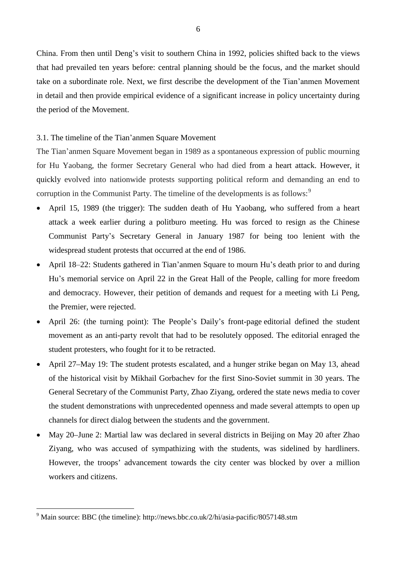China. From then until Deng's visit to southern China in 1992, policies shifted back to the views that had prevailed ten years before: central planning should be the focus, and the market should take on a subordinate role. Next, we first describe the development of the Tian'anmen Movement in detail and then provide empirical evidence of a significant increase in policy uncertainty during the period of the Movement.

#### 3.1. The timeline of the Tian'anmen Square Movement

The Tian'anmen Square Movement began in 1989 as a spontaneous expression of public mourning for Hu Yaobang, the former Secretary General who had died from a heart attack. However, it quickly evolved into nationwide protests supporting political reform and demanding an end to corruption in the Communist Party. The timeline of the developments is as follows:<sup>[9](#page-8-0)</sup>

- April 15, 1989 (the trigger): The sudden death of Hu Yaobang, who suffered from a heart attack a week earlier during a politburo meeting. Hu was forced to resign as the Chinese Communist Party's Secretary General in January 1987 for being too lenient with the widespread student protests that occurred at the end of 1986.
- April 18‒22: Students gathered in Tian'anmen Square to mourn Hu's death prior to and during Hu's memorial service on April 22 in the Great Hall of the People, calling for more freedom and democracy. However, their petition of demands and request for a meeting with Li Peng, the Premier, were rejected.
- April 26: (the turning point): The People's Daily's front-page editorial defined the student movement as an anti-party revolt that had to be resolutely opposed. The editorial enraged the student protesters, who fought for it to be retracted.
- April 27–May 19: The student protests escalated, and a hunger strike began on May 13, ahead of the historical visit by Mikhail Gorbachev for the first Sino-Soviet summit in 30 years. The General Secretary of the Communist Party, Zhao Ziyang, ordered the state news media to cover the student demonstrations with unprecedented openness and made several attempts to open up channels for direct dialog between the students and the government.
- May 20–June 2: Martial law was declared in several districts in Beijing on May 20 after Zhao Ziyang, who was accused of sympathizing with the students, was sidelined by hardliners. However, the troops' advancement towards the city center was blocked by over a million workers and citizens.

<u>.</u>

<span id="page-8-0"></span> $9$  Main source: BBC (the timeline): http://news.bbc.co.uk/2/hi/asia-pacific/8057148.stm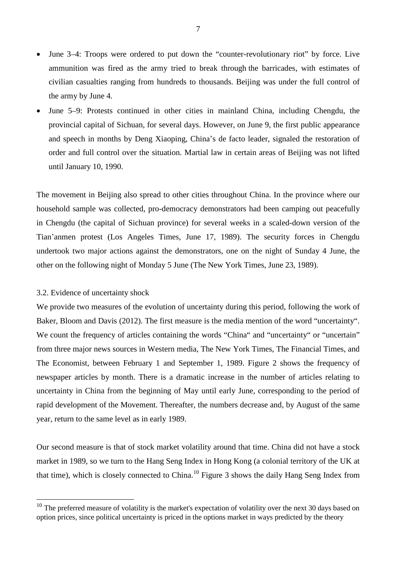- June 3–4: Troops were ordered to put down the "counter-revolutionary riot" by force. Live ammunition was fired as the army tried to break through the barricades, with estimates of civilian casualties ranging from hundreds to thousands. Beijing was under the full control of the army by June 4.
- June 5–9: Protests continued in other cities in mainland China, including Chengdu, the provincial capital of Sichuan, for several days. However, on June 9, the first public appearance and speech in months by Deng Xiaoping, China's de facto leader, signaled the restoration of order and full control over the situation. Martial law in certain areas of Beijing was not lifted until January 10, 1990.

The movement in Beijing also spread to other cities throughout China. In the province where our household sample was collected, pro-democracy demonstrators had been camping out peacefully in Chengdu (the capital of Sichuan province) for several weeks in a scaled-down version of the Tian'anmen protest (Los Angeles Times, June 17, 1989). The security forces in Chengdu undertook two major actions against the demonstrators, one on the night of Sunday 4 June, the other on the following night of Monday 5 June (The New York Times, June 23, 1989).

#### 3.2. Evidence of uncertainty shock

<u>.</u>

We provide two measures of the evolution of uncertainty during this period, following the work of Baker, Bloom and Davis (2012). The first measure is the media mention of the word "uncertainty". We count the frequency of articles containing the words "China" and "uncertainty" or "uncertain" from three major news sources in Western media, The New York Times, The Financial Times, and The Economist, between February 1 and September 1, 1989. Figure 2 shows the frequency of newspaper articles by month. There is a dramatic increase in the number of articles relating to uncertainty in China from the beginning of May until early June, corresponding to the period of rapid development of the Movement. Thereafter, the numbers decrease and, by August of the same year, return to the same level as in early 1989.

Our second measure is that of stock market volatility around that time. China did not have a stock market in 1989, so we turn to the Hang Seng Index in Hong Kong (a colonial territory of the UK at that time), which is closely connected to China.<sup>[10](#page-9-0)</sup> Figure 3 shows the daily Hang Seng Index from

<span id="page-9-0"></span> $10$  The preferred measure of volatility is the market's expectation of volatility over the next 30 days based on option prices, since political uncertainty is priced in the options market in ways predicted by the theory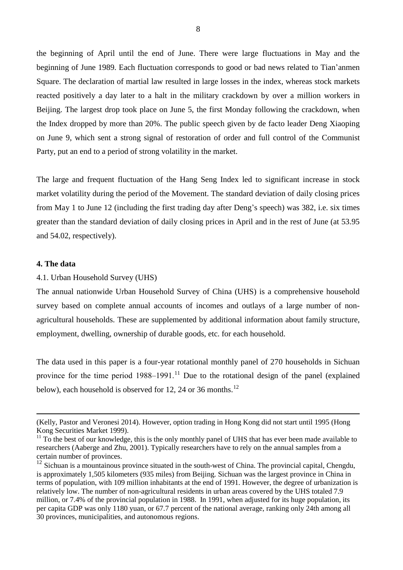the beginning of April until the end of June. There were large fluctuations in May and the beginning of June 1989. Each fluctuation corresponds to good or bad news related to Tian'anmen Square. The declaration of martial law resulted in large losses in the index, whereas stock markets reacted positively a day later to a halt in the military crackdown by over a million workers in Beijing. The largest drop took place on June 5, the first Monday following the crackdown, when the Index dropped by more than 20%. The public speech given by de facto leader Deng Xiaoping on June 9, which sent a strong signal of restoration of order and full control of the Communist Party, put an end to a period of strong volatility in the market.

The large and frequent fluctuation of the Hang Seng Index led to significant increase in stock market volatility during the period of the Movement. The standard deviation of daily closing prices from May 1 to June 12 (including the first trading day after Deng's speech) was 382, i.e. six times greater than the standard deviation of daily closing prices in April and in the rest of June (at 53.95 and 54.02, respectively).

#### **4. The data**

<u>.</u>

#### 4.1. Urban Household Survey (UHS)

The annual nationwide Urban Household Survey of China (UHS) is a comprehensive household survey based on complete annual accounts of incomes and outlays of a large number of nonagricultural households. These are supplemented by additional information about family structure, employment, dwelling, ownership of durable goods, etc. for each household.

The data used in this paper is a four-year rotational monthly panel of 270 households in Sichuan province for the time period  $1988-1991$ .<sup>[11](#page-10-0)</sup> Due to the rotational design of the panel (explained below), each household is observed for [12](#page-10-1), 24 or 36 months.<sup>12</sup>

<sup>(</sup>Kelly, Pastor and Veronesi 2014). However, option trading in Hong Kong did not start until 1995 (Hong Kong Securities Market 1999).

<span id="page-10-0"></span> $11$  To the best of our knowledge, this is the only monthly panel of UHS that has ever been made available to researchers (Aaberge and Zhu, 2001). Typically researchers have to rely on the annual samples from a certain number of provinces.

<span id="page-10-1"></span> $12$  Sichuan is a mountainous province situated in the south-west of China. The provincial capital, Chengdu, is approximately 1,505 kilometers (935 miles) from Beijing. Sichuan was the largest province in China in terms of population, with 109 million inhabitants at the end of 1991. However, the degree of urbanization is relatively low. The number of non-agricultural residents in urban areas covered by the UHS totaled 7.9 million, or 7.4% of the provincial population in 1988. In 1991, when adjusted for its huge population, its per capita GDP was only 1180 yuan, or 67.7 percent of the national average, ranking only 24th among all 30 provinces, municipalities, and autonomous regions.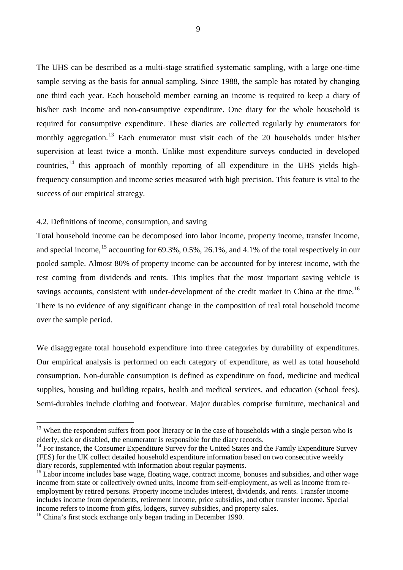The UHS can be described as a multi-stage stratified systematic sampling, with a large one-time sample serving as the basis for annual sampling. Since 1988, the sample has rotated by changing one third each year. Each household member earning an income is required to keep a diary of his/her cash income and non-consumptive expenditure. One diary for the whole household is required for consumptive expenditure. These diaries are collected regularly by enumerators for monthly aggregation.<sup>[13](#page-11-0)</sup> Each enumerator must visit each of the 20 households under his/her supervision at least twice a month. Unlike most expenditure surveys conducted in developed countries,  $^{14}$  $^{14}$  $^{14}$  this approach of monthly reporting of all expenditure in the UHS yields highfrequency consumption and income series measured with high precision. This feature is vital to the success of our empirical strategy.

#### 4.2. Definitions of income, consumption, and saving

Total household income can be decomposed into labor income, property income, transfer income, and special income,  $^{15}$  $^{15}$  $^{15}$  accounting for 69.3%, 0.5%, 26.1%, and 4.1% of the total respectively in our pooled sample. Almost 80% of property income can be accounted for by interest income, with the rest coming from dividends and rents. This implies that the most important saving vehicle is savings accounts, consistent with under-development of the credit market in China at the time.<sup>[16](#page-11-3)</sup> There is no evidence of any significant change in the composition of real total household income over the sample period.

We disaggregate total household expenditure into three categories by durability of expenditures. Our empirical analysis is performed on each category of expenditure, as well as total household consumption. Non-durable consumption is defined as expenditure on food, medicine and medical supplies, housing and building repairs, health and medical services, and education (school fees). Semi-durables include clothing and footwear. Major durables comprise furniture, mechanical and

-

<span id="page-11-0"></span> $13$  When the respondent suffers from poor literacy or in the case of households with a single person who is elderly, sick or disabled, the enumerator is responsible for the diary records.

<span id="page-11-1"></span><sup>&</sup>lt;sup>14</sup> For instance, the Consumer Expenditure Survey for the United States and the Family Expenditure Survey (FES) for the UK collect detailed household expenditure information based on two consecutive weekly diary records, supplemented with information about regular payments.

<span id="page-11-2"></span><sup>&</sup>lt;sup>15</sup> Labor income includes base wage, floating wage, contract income, bonuses and subsidies, and other wage income from state or collectively owned units, income from self-employment, as well as income from reemployment by retired persons. Property income includes interest, dividends, and rents. Transfer income includes income from dependents, retirement income, price subsidies, and other transfer income. Special income refers to income from gifts, lodgers, survey subsidies, and property sales. <sup>16</sup> China's first stock exchange only began trading in December 1990.

<span id="page-11-3"></span>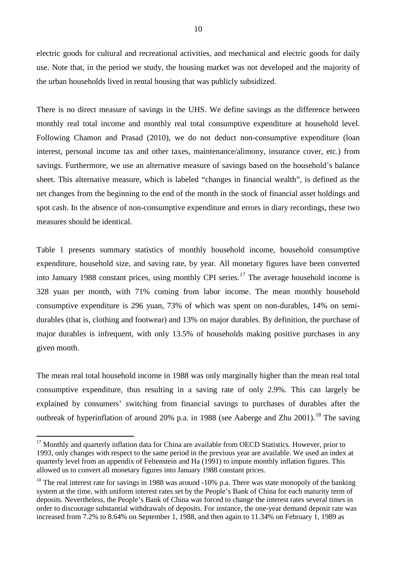electric goods for cultural and recreational activities, and mechanical and electric goods for daily use. Note that, in the period we study, the housing market was not developed and the majority of the urban households lived in rental housing that was publicly subsidized.

There is no direct measure of savings in the UHS. We define savings as the difference between monthly real total income and monthly real total consumptive expenditure at household level. Following Chamon and Prasad (2010), we do not deduct non-consumptive expenditure (loan interest, personal income tax and other taxes, maintenance/alimony, insurance cover, etc.) from savings. Furthermore, we use an alternative measure of savings based on the household's balance sheet. This alternative measure, which is labeled "changes in financial wealth", is defined as the net changes from the beginning to the end of the month in the stock of financial asset holdings and spot cash. In the absence of non-consumptive expenditure and errors in diary recordings, these two measures should be identical.

Table 1 presents summary statistics of monthly household income, household consumptive expenditure, household size, and saving rate, by year. All monetary figures have been converted into January 1988 constant prices, using monthly CPI series.<sup>[17](#page-12-0)</sup> The average household income is 328 yuan per month, with 71% coming from labor income. The mean monthly household consumptive expenditure is 296 yuan, 73% of which was spent on non-durables, 14% on semidurables (that is, clothing and footwear) and 13% on major durables. By definition, the purchase of major durables is infrequent, with only 13.5% of households making positive purchases in any given month.

The mean real total household income in 1988 was only marginally higher than the mean real total consumptive expenditure, thus resulting in a saving rate of only 2.9%. This can largely be explained by consumers' switching from financial savings to purchases of durables after the outbreak of hyperinflation of around 20% p.a. in 1988 (see Aaberge and Zhu 2001).<sup>[18](#page-12-1)</sup> The saving

<u>.</u>

<span id="page-12-0"></span><sup>&</sup>lt;sup>17</sup> Monthly and quarterly inflation data for China are available from OECD Statistics. However, prior to 1993, only changes with respect to the same period in the previous year are available. We used an index at quarterly level from an appendix of Feltenstein and Ha (1991) to impute monthly inflation figures. This allowed us to convert all monetary figures into January 1988 constant prices.

<span id="page-12-1"></span> $18$  The real interest rate for savings in 1988 was around -10% p.a. There was state monopoly of the banking system at the time, with uniform interest rates set by the People's Bank of China for each maturity term of deposits. Nevertheless, the People's Bank of China was forced to change the interest rates several times in order to discourage substantial withdrawals of deposits. For instance, the one-year demand deposit rate was increased from 7.2% to 8.64% on September 1, 1988, and then again to 11.34% on February 1, 1989 as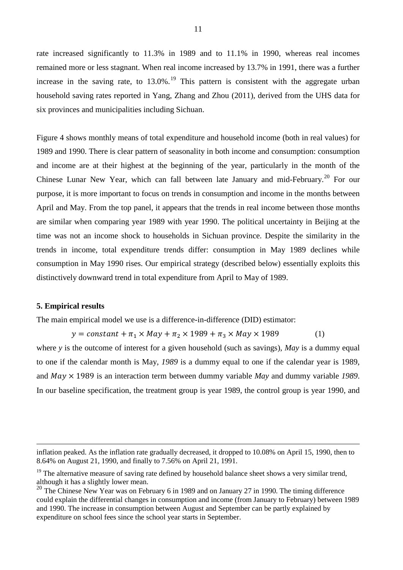rate increased significantly to 11.3% in 1989 and to 11.1% in 1990, whereas real incomes remained more or less stagnant. When real income increased by 13.7% in 1991, there was a further increase in the saving rate, to  $13.0\%$ <sup>[19](#page-13-0)</sup>. This pattern is consistent with the aggregate urban household saving rates reported in Yang, Zhang and Zhou (2011), derived from the UHS data for six provinces and municipalities including Sichuan.

Figure 4 shows monthly means of total expenditure and household income (both in real values) for 1989 and 1990. There is clear pattern of seasonality in both income and consumption: consumption and income are at their highest at the beginning of the year, particularly in the month of the Chinese Lunar New Year, which can fall between late January and mid-February.<sup>[20](#page-13-1)</sup> For our purpose, it is more important to focus on trends in consumption and income in the months between April and May. From the top panel, it appears that the trends in real income between those months are similar when comparing year 1989 with year 1990. The political uncertainty in Beijing at the time was not an income shock to households in Sichuan province. Despite the similarity in the trends in income, total expenditure trends differ: consumption in May 1989 declines while consumption in May 1990 rises. Our empirical strategy (described below) essentially exploits this distinctively downward trend in total expenditure from April to May of 1989.

#### **5. Empirical results**

-

The main empirical model we use is a difference-in-difference (DID) estimator:

 $y = constant + \pi_1 \times May + \pi_2 \times 1989 + \pi_3 \times May \times 1989$  (1)

where *y* is the outcome of interest for a given household (such as savings), *May* is a dummy equal to one if the calendar month is May, *1989* is a dummy equal to one if the calendar year is 1989, and  $May \times 1989$  is an interaction term between dummy variable  $May$  and dummy variable 1989. In our baseline specification, the treatment group is year 1989, the control group is year 1990, and

inflation peaked. As the inflation rate gradually decreased, it dropped to 10.08% on April 15, 1990, then to 8.64% on August 21, 1990, and finally to 7.56% on April 21, 1991.

<span id="page-13-0"></span> $19$  The alternative measure of saving rate defined by household balance sheet shows a very similar trend, although it has a slightly lower mean.

<span id="page-13-1"></span><sup>&</sup>lt;sup>20</sup> The Chinese New Year was on February 6 in 1989 and on January 27 in 1990. The timing difference could explain the differential changes in consumption and income (from January to February) between 1989 and 1990. The increase in consumption between August and September can be partly explained by expenditure on school fees since the school year starts in September.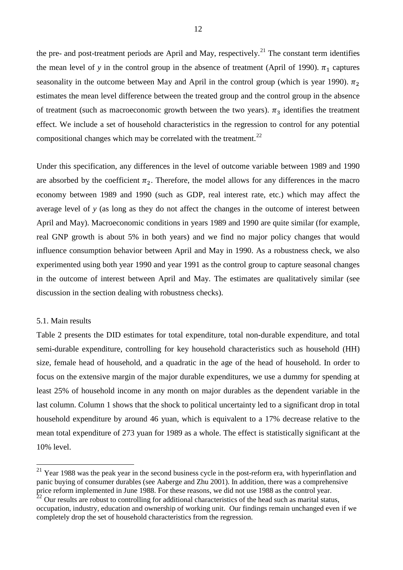the pre- and post-treatment periods are April and May, respectively.<sup>[21](#page-14-0)</sup> The constant term identifies the mean level of *y* in the control group in the absence of treatment (April of 1990).  $\pi_1$  captures seasonality in the outcome between May and April in the control group (which is year 1990).  $\pi_2$ estimates the mean level difference between the treated group and the control group in the absence of treatment (such as macroeconomic growth between the two years).  $\pi_3$  identifies the treatment effect. We include a set of household characteristics in the regression to control for any potential compositional changes which may be correlated with the treatment.<sup>[22](#page-14-1)</sup>

Under this specification, any differences in the level of outcome variable between 1989 and 1990 are absorbed by the coefficient  $\pi_2$ . Therefore, the model allows for any differences in the macro economy between 1989 and 1990 (such as GDP, real interest rate, etc.) which may affect the average level of *y* (as long as they do not affect the changes in the outcome of interest between April and May). Macroeconomic conditions in years 1989 and 1990 are quite similar (for example, real GNP growth is about 5% in both years) and we find no major policy changes that would influence consumption behavior between April and May in 1990. As a robustness check, we also experimented using both year 1990 and year 1991 as the control group to capture seasonal changes in the outcome of interest between April and May. The estimates are qualitatively similar (see discussion in the section dealing with robustness checks).

#### 5.1. Main results

-

Table 2 presents the DID estimates for total expenditure, total non-durable expenditure, and total semi-durable expenditure, controlling for key household characteristics such as household (HH) size, female head of household, and a quadratic in the age of the head of household. In order to focus on the extensive margin of the major durable expenditures, we use a dummy for spending at least 25% of household income in any month on major durables as the dependent variable in the last column. Column 1 shows that the shock to political uncertainty led to a significant drop in total household expenditure by around 46 yuan, which is equivalent to a 17% decrease relative to the mean total expenditure of 273 yuan for 1989 as a whole. The effect is statistically significant at the 10% level.

<span id="page-14-0"></span> $21$  Year 1988 was the peak year in the second business cycle in the post-reform era, with hyperinflation and panic buying of consumer durables (see Aaberge and Zhu 2001). In addition, there was a comprehensive price reform implemented in June 1988. For these reasons, we did not use 1988 as the control year.<br><sup>22</sup> Our results are robust to controlling for additional characteristics of the head such as marital status,

<span id="page-14-1"></span>occupation, industry, education and ownership of working unit. Our findings remain unchanged even if we completely drop the set of household characteristics from the regression.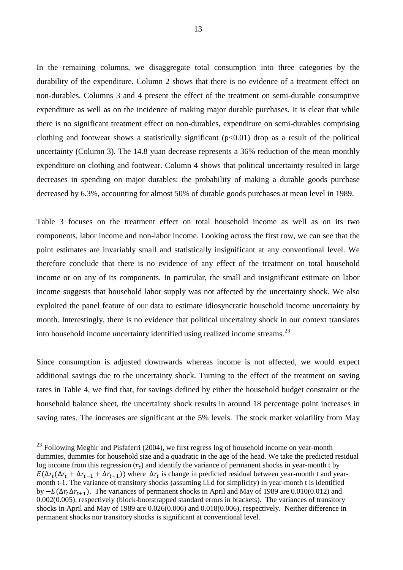In the remaining columns, we disaggregate total consumption into three categories by the durability of the expenditure. Column 2 shows that there is no evidence of a treatment effect on non-durables. Columns 3 and 4 present the effect of the treatment on semi-durable consumptive expenditure as well as on the incidence of making major durable purchases. It is clear that while there is no significant treatment effect on non-durables, expenditure on semi-durables comprising clothing and footwear shows a statistically significant  $(p<0.01)$  drop as a result of the political uncertainty (Column 3). The 14.8 yuan decrease represents a 36% reduction of the mean monthly expenditure on clothing and footwear. Column 4 shows that political uncertainty resulted in large decreases in spending on major durables: the probability of making a durable goods purchase decreased by 6.3%, accounting for almost 50% of durable goods purchases at mean level in 1989.

Table 3 focuses on the treatment effect on total household income as well as on its two components, labor income and non-labor income. Looking across the first row, we can see that the point estimates are invariably small and statistically insignificant at any conventional level. We therefore conclude that there is no evidence of any effect of the treatment on total household income or on any of its components. In particular, the small and insignificant estimate on labor income suggests that household labor supply was not affected by the uncertainty shock. We also exploited the panel feature of our data to estimate idiosyncratic household income uncertainty by month. Interestingly, there is no evidence that political uncertainty shock in our context translates into household income uncertainty identified using realized income streams.[23](#page-15-0)

Since consumption is adjusted downwards whereas income is not affected, we would expect additional savings due to the uncertainty shock. Turning to the effect of the treatment on saving rates in Table 4, we find that, for savings defined by either the household budget constraint or the household balance sheet, the uncertainty shock results in around 18 percentage point increases in saving rates. The increases are significant at the 5% levels. The stock market volatility from May

<u>.</u>

<span id="page-15-0"></span> $^{23}$  Following Meghir and Pisfaferri (2004), we first regress log of household income on year-month dummies, dummies for household size and a quadratic in the age of the head. We take the predicted residual log income from this regression  $(r_t)$  and identify the variance of permanent shocks in year-month t by  $E(\Delta r_t(\Delta r_t + \Delta r_{t-1} + \Delta r_{t+1}))$  where  $\Delta r_t$  is change in predicted residual between year-month t and yearmonth t-1. The variance of transitory shocks (assuming i.i.d for simplicity) in year-month t is identified by  $-E(\Delta r_t \Delta r_{t+1})$ . The variances of permanent shocks in April and May of 1989 are 0.010(0.012) and 0.002(0.005), respectively (block-bootstrapped standard errors in brackets). The variances of transitory shocks in April and May of 1989 are  $0.026(0.006)$  and  $0.018(0.006)$ , respectively. Neither difference in permanent shocks nor transitory shocks is significant at conventional level.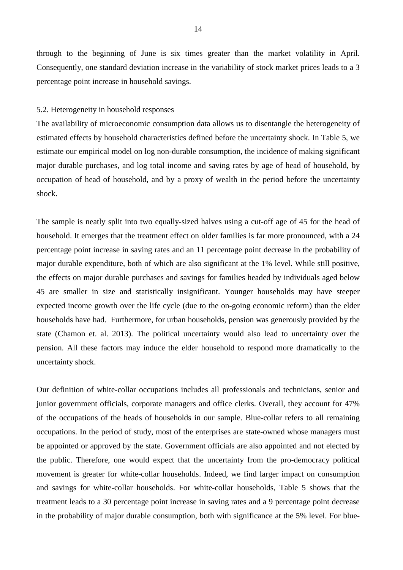through to the beginning of June is six times greater than the market volatility in April. Consequently, one standard deviation increase in the variability of stock market prices leads to a 3 percentage point increase in household savings.

#### 5.2. Heterogeneity in household responses

The availability of microeconomic consumption data allows us to disentangle the heterogeneity of estimated effects by household characteristics defined before the uncertainty shock. In Table 5, we estimate our empirical model on log non-durable consumption, the incidence of making significant major durable purchases, and log total income and saving rates by age of head of household, by occupation of head of household, and by a proxy of wealth in the period before the uncertainty shock.

The sample is neatly split into two equally-sized halves using a cut-off age of 45 for the head of household. It emerges that the treatment effect on older families is far more pronounced, with a 24 percentage point increase in saving rates and an 11 percentage point decrease in the probability of major durable expenditure, both of which are also significant at the 1% level. While still positive, the effects on major durable purchases and savings for families headed by individuals aged below 45 are smaller in size and statistically insignificant. Younger households may have steeper expected income growth over the life cycle (due to the on-going economic reform) than the elder households have had. Furthermore, for urban households, pension was generously provided by the state (Chamon et. al. 2013). The political uncertainty would also lead to uncertainty over the pension. All these factors may induce the elder household to respond more dramatically to the uncertainty shock.

Our definition of white-collar occupations includes all professionals and technicians, senior and junior government officials, corporate managers and office clerks. Overall, they account for 47% of the occupations of the heads of households in our sample. Blue-collar refers to all remaining occupations. In the period of study, most of the enterprises are state-owned whose managers must be appointed or approved by the state. Government officials are also appointed and not elected by the public. Therefore, one would expect that the uncertainty from the pro-democracy political movement is greater for white-collar households. Indeed, we find larger impact on consumption and savings for white-collar households. For white-collar households, Table 5 shows that the treatment leads to a 30 percentage point increase in saving rates and a 9 percentage point decrease in the probability of major durable consumption, both with significance at the 5% level. For blue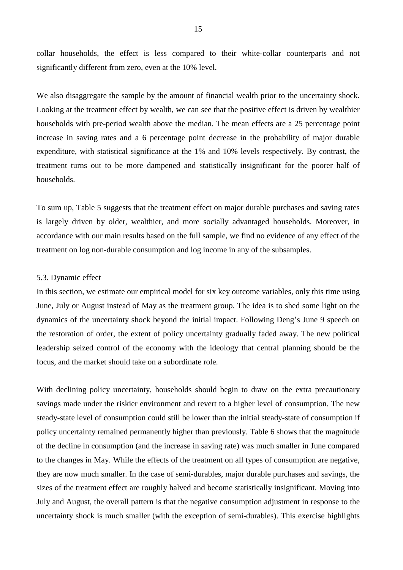collar households, the effect is less compared to their white-collar counterparts and not significantly different from zero, even at the 10% level.

We also disaggregate the sample by the amount of financial wealth prior to the uncertainty shock. Looking at the treatment effect by wealth, we can see that the positive effect is driven by wealthier households with pre-period wealth above the median. The mean effects are a 25 percentage point increase in saving rates and a 6 percentage point decrease in the probability of major durable expenditure, with statistical significance at the 1% and 10% levels respectively. By contrast, the treatment turns out to be more dampened and statistically insignificant for the poorer half of households.

To sum up, Table 5 suggests that the treatment effect on major durable purchases and saving rates is largely driven by older, wealthier, and more socially advantaged households. Moreover, in accordance with our main results based on the full sample, we find no evidence of any effect of the treatment on log non-durable consumption and log income in any of the subsamples.

#### 5.3. Dynamic effect

In this section, we estimate our empirical model for six key outcome variables, only this time using June, July or August instead of May as the treatment group. The idea is to shed some light on the dynamics of the uncertainty shock beyond the initial impact. Following Deng's June 9 speech on the restoration of order, the extent of policy uncertainty gradually faded away. The new political leadership seized control of the economy with the ideology that central planning should be the focus, and the market should take on a subordinate role.

With declining policy uncertainty, households should begin to draw on the extra precautionary savings made under the riskier environment and revert to a higher level of consumption. The new steady-state level of consumption could still be lower than the initial steady-state of consumption if policy uncertainty remained permanently higher than previously. Table 6 shows that the magnitude of the decline in consumption (and the increase in saving rate) was much smaller in June compared to the changes in May. While the effects of the treatment on all types of consumption are negative, they are now much smaller. In the case of semi-durables, major durable purchases and savings, the sizes of the treatment effect are roughly halved and become statistically insignificant. Moving into July and August, the overall pattern is that the negative consumption adjustment in response to the uncertainty shock is much smaller (with the exception of semi-durables). This exercise highlights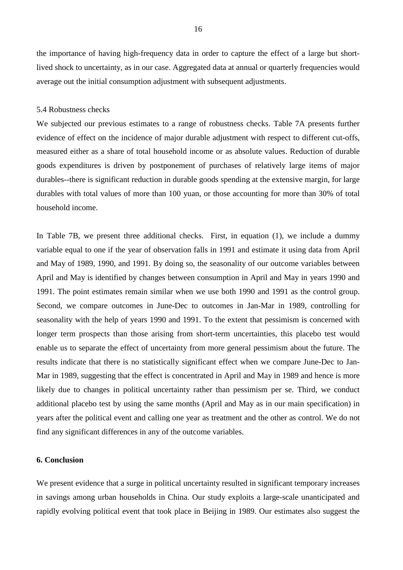the importance of having high-frequency data in order to capture the effect of a large but shortlived shock to uncertainty, as in our case. Aggregated data at annual or quarterly frequencies would average out the initial consumption adjustment with subsequent adjustments.

#### 5.4 Robustness checks

We subjected our previous estimates to a range of robustness checks. Table 7A presents further evidence of effect on the incidence of major durable adjustment with respect to different cut-offs, measured either as a share of total household income or as absolute values. Reduction of durable goods expenditures is driven by postponement of purchases of relatively large items of major durables--there is significant reduction in durable goods spending at the extensive margin, for large durables with total values of more than 100 yuan, or those accounting for more than 30% of total household income.

In Table 7B, we present three additional checks. First, in equation (1), we include a dummy variable equal to one if the year of observation falls in 1991 and estimate it using data from April and May of 1989, 1990, and 1991. By doing so, the seasonality of our outcome variables between April and May is identified by changes between consumption in April and May in years 1990 and 1991. The point estimates remain similar when we use both 1990 and 1991 as the control group. Second, we compare outcomes in June-Dec to outcomes in Jan-Mar in 1989, controlling for seasonality with the help of years 1990 and 1991. To the extent that pessimism is concerned with longer term prospects than those arising from short-term uncertainties, this placebo test would enable us to separate the effect of uncertainty from more general pessimism about the future. The results indicate that there is no statistically significant effect when we compare June-Dec to Jan-Mar in 1989, suggesting that the effect is concentrated in April and May in 1989 and hence is more likely due to changes in political uncertainty rather than pessimism per se. Third, we conduct additional placebo test by using the same months (April and May as in our main specification) in years after the political event and calling one year as treatment and the other as control. We do not find any significant differences in any of the outcome variables.

#### **6. Conclusion**

We present evidence that a surge in political uncertainty resulted in significant temporary increases in savings among urban households in China. Our study exploits a large-scale unanticipated and rapidly evolving political event that took place in Beijing in 1989. Our estimates also suggest the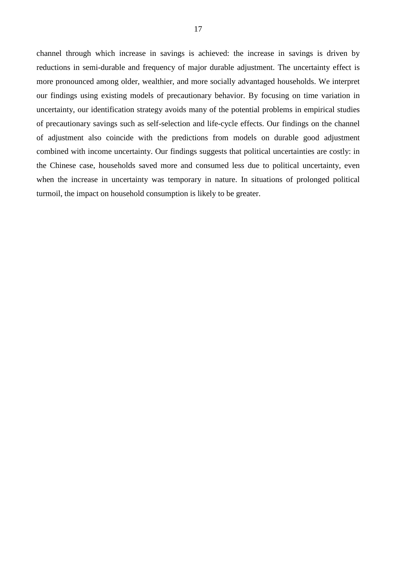channel through which increase in savings is achieved: the increase in savings is driven by reductions in semi-durable and frequency of major durable adjustment. The uncertainty effect is more pronounced among older, wealthier, and more socially advantaged households. We interpret our findings using existing models of precautionary behavior. By focusing on time variation in uncertainty, our identification strategy avoids many of the potential problems in empirical studies of precautionary savings such as self-selection and life-cycle effects. Our findings on the channel of adjustment also coincide with the predictions from models on durable good adjustment combined with income uncertainty. Our findings suggests that political uncertainties are costly: in the Chinese case, households saved more and consumed less due to political uncertainty, even when the increase in uncertainty was temporary in nature. In situations of prolonged political turmoil, the impact on household consumption is likely to be greater.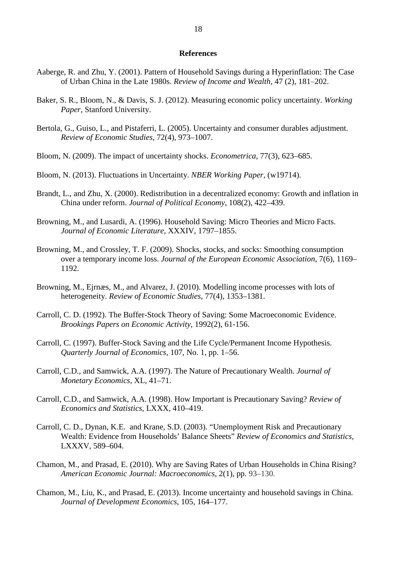#### **References**

- Aaberge, R. and Zhu, Y. (2001). Pattern of Household Savings during a Hyperinflation: The Case of Urban China in the Late 1980s. *Review of Income and Wealth*, 47 (2), 181–202.
- Baker, S. R., Bloom, N., & Davis, S. J. (2012). Measuring economic policy uncertainty. *Working Paper*, Stanford University.
- Bertola, G., Guiso, L., and Pistaferri, L. (2005). Uncertainty and consumer durables adjustment. *Review of Economic Studies*, 72(4), 973–1007.
- Bloom, N. (2009). The impact of uncertainty shocks. *Econometrica*, 77(3), 623–685.
- Bloom, N. (2013). Fluctuations in Uncertainty. *NBER Working Paper*, (w19714).
- Brandt, L., and Zhu, X. (2000). Redistribution in a decentralized economy: Growth and inflation in China under reform. *Journal of Political Economy*, 108(2), 422–439.
- Browning, M., and Lusardi, A. (1996). Household Saving: Micro Theories and Micro Facts. *Journal of Economic Literature*, XXXIV, 1797–1855.
- Browning, M., and Crossley, T. F. (2009). Shocks, stocks, and socks: Smoothing consumption over a temporary income loss. *Journal of the European Economic Association*, 7(6), 1169– 1192.
- Browning, M., Ejrnæs, M., and Alvarez, J. (2010). Modelling income processes with lots of heterogeneity. *Review of Economic Studies*, 77(4), 1353–1381.
- Carroll, C. D. (1992). The Buffer-Stock Theory of Saving: Some Macroeconomic Evidence. *Brookings Papers on Economic Activity*, 1992(2), 61-156.
- Carroll, C. (1997). Buffer-Stock Saving and the Life Cycle/Permanent Income Hypothesis. *Quarterly Journal of Economics,* 107, No. 1, pp. 1–56.
- Carroll, C.D., and Samwick, A.A. (1997). The Nature of Precautionary Wealth. *Journal of Monetary Economics*, XL, 41–71.
- Carroll, C.D., and Samwick, A.A. (1998). How Important is Precautionary Saving? *Review of Economics and Statistics*, LXXX, 410–419.
- Carroll, C. D., Dynan, K.E. and Krane, S.D. (2003). "Unemployment Risk and Precautionary Wealth: Evidence from Households' Balance Sheets" *Review of Economics and Statistics*, LXXXV, 589–604.
- Chamon, M., and Prasad, E. (2010). Why are Saving Rates of Urban Households in China Rising? *American Economic Journal: Macroeconomics*, 2(1), pp. 93–130.
- Chamon, M., Liu, K., and Prasad, E. (2013). Income uncertainty and household savings in China. *Journal of Development Economics*, 105, 164–177.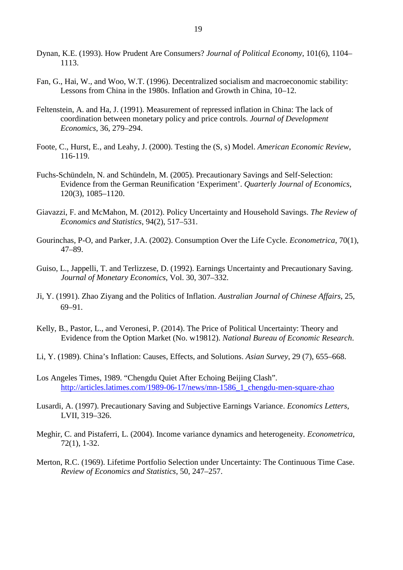- Dynan, K.E. (1993). How Prudent Are Consumers? *Journal of Political Economy*, 101(6), 1104– 1113.
- Fan, G., Hai, W., and Woo, W.T. (1996). Decentralized socialism and macroeconomic stability: Lessons from China in the 1980s. Inflation and Growth in China, 10–12.
- Feltenstein, A. and Ha, J. (1991). Measurement of repressed inflation in China: The lack of coordination between monetary policy and price controls. *Journal of Development Economics*, 36, 279–294.
- Foote, C., Hurst, E., and Leahy, J. (2000). Testing the (S, s) Model. *American Economic Review*, 116-119.
- Fuchs-Schündeln, N. and Schündeln, M. (2005). Precautionary Savings and Self-Selection: Evidence from the German Reunification 'Experiment'. *Quarterly Journal of Economics,* 120(3), 1085–1120.
- Giavazzi, F. and McMahon, M. (2012). Policy Uncertainty and Household Savings. *The Review of Economics and Statistics*, 94(2), 517–531.
- Gourinchas, P-O, and Parker, J.A. (2002). Consumption Over the Life Cycle. *Econometrica*, 70(1), 47–89.
- Guiso, L., Jappelli, T. and Terlizzese, D. (1992). Earnings Uncertainty and Precautionary Saving. *Journal of Monetary Economics*, Vol. 30, 307–332.
- Ji, Y. (1991). Zhao Ziyang and the Politics of Inflation. *Australian Journal of Chinese Affairs*, 25, 69–91.
- Kelly, B., Pastor, L., and Veronesi, P. (2014). The Price of Political Uncertainty: Theory and Evidence from the Option Market (No. w19812). *National Bureau of Economic Research*.
- Li, Y. (1989). China's Inflation: Causes, Effects, and Solutions. *Asian Survey*, 29 (7), 655–668.
- Los Angeles Times, 1989. "Chengdu Quiet After Echoing Beijing Clash". http://articles.latimes.com/1989-06-17/news/mn-1586 1 chengdu-men-square-zhao
- Lusardi, A. (1997). Precautionary Saving and Subjective Earnings Variance. *Economics Letters*, LVII, 319–326.
- Meghir, C. and Pistaferri, L. (2004). Income variance dynamics and heterogeneity. *Econometrica*, 72(1), 1-32.
- Merton, R.C. (1969). Lifetime Portfolio Selection under Uncertainty: The Continuous Time Case. *Review of Economics and Statistics*, 50, 247–257.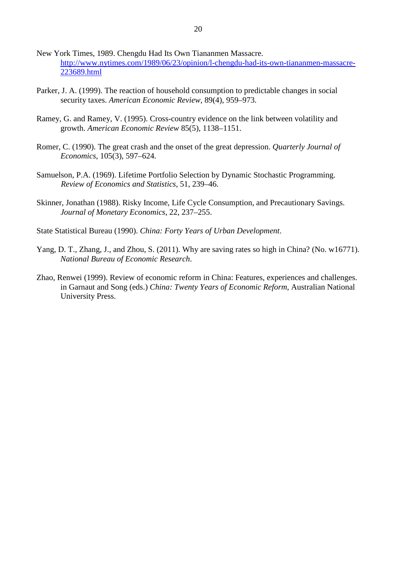- New York Times, 1989. Chengdu Had Its Own Tiananmen Massacre. [http://www.nytimes.com/1989/06/23/opinion/l-chengdu-had-its-own-tiananmen-massacre-](http://www.nytimes.com/1989/06/23/opinion/l-chengdu-had-its-own-tiananmen-massacre-223689.html)[223689.html](http://www.nytimes.com/1989/06/23/opinion/l-chengdu-had-its-own-tiananmen-massacre-223689.html)
- Parker, J. A. (1999). The reaction of household consumption to predictable changes in social security taxes. *American Economic Review*, 89(4), 959–973.
- Ramey, G. and Ramey, V. (1995). Cross-country evidence on the link between volatility and growth. *American Economic Review* 85(5), 1138–1151.
- Romer, C. (1990). The great crash and the onset of the great depression. *Quarterly Journal of Economics*, 105(3), 597–624.
- Samuelson, P.A. (1969). Lifetime Portfolio Selection by Dynamic Stochastic Programming. *Review of Economics and Statistics*, 51, 239–46.
- Skinner, Jonathan (1988). Risky Income, Life Cycle Consumption, and Precautionary Savings. *Journal of Monetary Economics*, 22, 237–255.
- State Statistical Bureau (1990). *China: Forty Years of Urban Development*.
- Yang, D. T., Zhang, J., and Zhou, S. (2011). Why are saving rates so high in China? (No. w16771). *National Bureau of Economic Research*.
- Zhao, Renwei (1999). Review of economic reform in China: Features, experiences and challenges. in Garnaut and Song (eds.) *China: Twenty Years of Economic Reform*, Australian National University Press.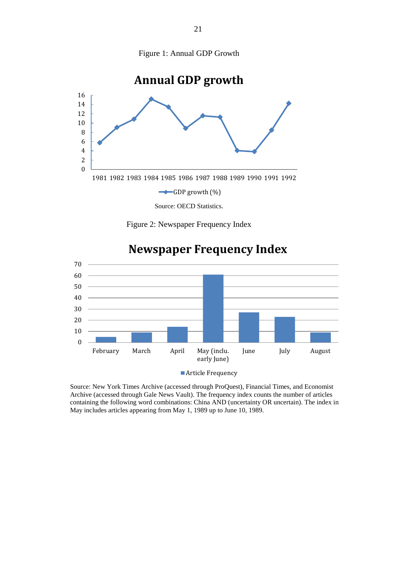



Figure 2: Newspaper Frequency Index



# **Newspaper Frequency Index**

Source: New York Times Archive (accessed through ProQuest), Financial Times, and Economist Archive (accessed through Gale News Vault). The frequency index counts the number of articles containing the following word combinations: China AND (uncertainty OR uncertain). The index in May includes articles appearing from May 1, 1989 up to June 10, 1989.

**Article Frequency**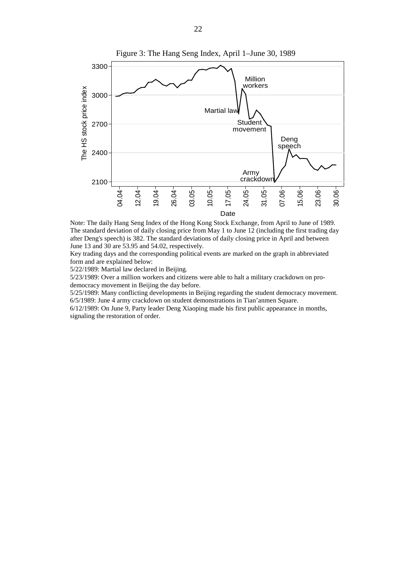

Note: The daily Hang Seng Index of the Hong Kong Stock Exchange, from April to June of 1989. The standard deviation of daily closing price from May 1 to June 12 (including the first trading day after Deng's speech) is 382. The standard deviations of daily closing price in April and between June 13 and 30 are 53.95 and 54.02, respectively.

Key trading days and the corresponding political events are marked on the graph in abbreviated form and are explained below:

5/22/1989: Martial law declared in Beijing.

5/23/1989: Over a million workers and citizens were able to halt a military crackdown on prodemocracy movement in Beijing the day before.

5/25/1989: Many conflicting developments in Beijing regarding the student democracy movement. 6/5/1989: June 4 army crackdown on student demonstrations in Tian'anmen Square.

6/12/1989: On June 9, Party leader Deng Xiaoping made his first public appearance in months, signaling the restoration of order.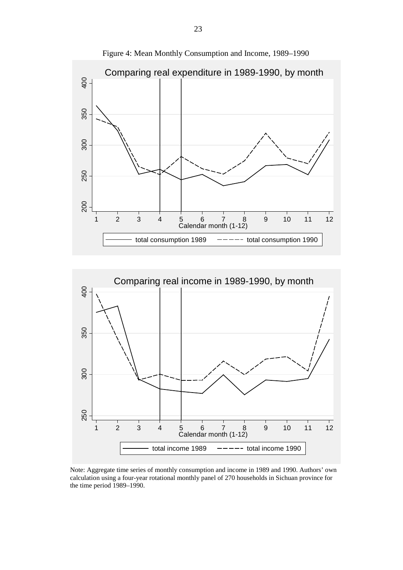

Figure 4: Mean Monthly Consumption and Income, 1989–1990



Note: Aggregate time series of monthly consumption and income in 1989 and 1990. Authors' own calculation using a four-year rotational monthly panel of 270 households in Sichuan province for the time period 1989–1990.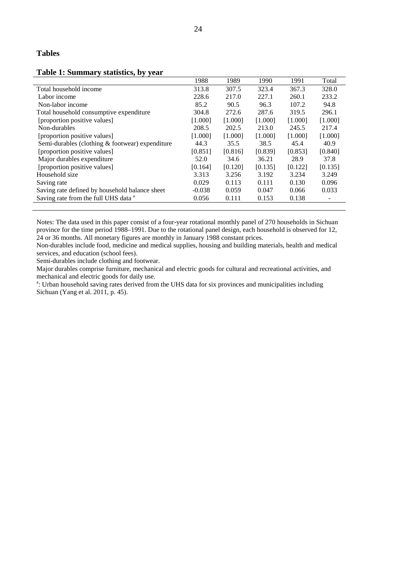#### **Table 1: Summary statistics, by year**

| ັ້                                              |          |         |         |         |         |
|-------------------------------------------------|----------|---------|---------|---------|---------|
|                                                 | 1988     | 1989    | 1990    | 1991    | Total   |
| Total household income                          | 313.8    | 307.5   | 323.4   | 367.3   | 328.0   |
| Labor income                                    | 228.6    | 217.0   | 227.1   | 260.1   | 233.2   |
| Non-labor income                                | 85.2     | 90.5    | 96.3    | 107.2   | 94.8    |
| Total household consumptive expenditure         | 304.8    | 272.6   | 287.6   | 319.5   | 296.1   |
| [proportion positive values]                    | [1.000]  | [1.000] | [1.000] | [1.000] | [1.000] |
| Non-durables                                    | 208.5    | 202.5   | 213.0   | 245.5   | 217.4   |
| [proportion positive values]                    | [1.000]  | [1.000] | [1.000] | [1.000] | [1.000] |
| Semi-durables (clothing & footwear) expenditure | 44.3     | 35.5    | 38.5    | 45.4    | 40.9    |
| [proportion positive values]                    | [0.851]  | [0.816] | [0.839] | [0.853] | [0.840] |
| Major durables expenditure                      | 52.0     | 34.6    | 36.21   | 28.9    | 37.8    |
| [proportion positive values]                    | [0.164]  | [0.120] | [0.135] | [0.122] | [0.135] |
| Household size                                  | 3.313    | 3.256   | 3.192   | 3.234   | 3.249   |
| Saving rate                                     | 0.029    | 0.113   | 0.111   | 0.130   | 0.096   |
| Saving rate defined by household balance sheet  | $-0.038$ | 0.059   | 0.047   | 0.066   | 0.033   |
| Saving rate from the full UHS data <sup>a</sup> | 0.056    | 0.111   | 0.153   | 0.138   |         |
|                                                 |          |         |         |         |         |

Notes: The data used in this paper consist of a four-year rotational monthly panel of 270 households in Sichuan province for the time period 1988–1991. Due to the rotational panel design, each household is observed for 12, 24 or 36 months. All monetary figures are monthly in January 1988 constant prices.

Non-durables include food, medicine and medical supplies, housing and building materials, health and medical services, and education (school fees).

Semi-durables include clothing and footwear.

Major durables comprise furniture, mechanical and electric goods for cultural and recreational activities, and mechanical and electric goods for daily use.

<sup>a</sup>: Urban household saving rates derived from the UHS data for six provinces and municipalities including Sichuan (Yang et al. 2011, p. 45).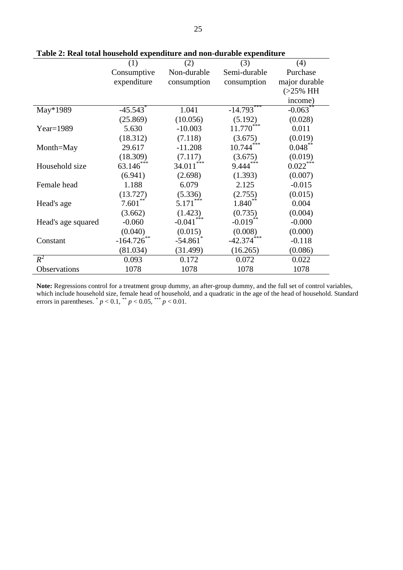|                    | (1)                    | (2)                    | (3)               | (4)           |
|--------------------|------------------------|------------------------|-------------------|---------------|
|                    | Consumptive            | Non-durable            | Semi-durable      | Purchase      |
|                    | expenditure            | consumption            | consumption       | major durable |
|                    |                        |                        |                   | $(>25\%$ HH   |
|                    |                        |                        |                   | income)       |
| May*1989           | $-45.543$ <sup>*</sup> | 1.041                  | $-14.793***$      | $-0.063**$    |
|                    | (25.869)               | (10.056)               | (5.192)           | (0.028)       |
| $Year=1989$        | 5.630                  | $-10.003$              | 11.770            | 0.011         |
|                    | (18.312)               | (7.118)                | (3.675)           | (0.019)       |
| Month=May          | 29.617                 | $-11.208$              | $* * *$<br>10.744 | $0.048***$    |
|                    | (18.309)               | (7.117)                | (3.675)           | (0.019)       |
| Household size     | $63.146***$            | 34.011                 | $9.444***$        | $0.022***$    |
|                    | (6.941)                | (2.698)                | (1.393)           | (0.007)       |
| Female head        | 1.188                  | 6.079                  | 2.125             | $-0.015$      |
|                    | (13.727)               | (5.336)                | (2.755)           | (0.015)       |
| Head's age         | $7.601***$             | $5.171***$             | $1.840**$         | 0.004         |
|                    | (3.662)                | (1.423)                | (0.735)           | (0.004)       |
| Head's age squared | $-0.060$               | $-0.041$               | $-0.019$ **       | $-0.000$      |
|                    | (0.040)                | (0.015)                | (0.008)           | (0.000)       |
| Constant           | $-164.726$ **          | $-54.861$ <sup>*</sup> | $-42.374$         | $-0.118$      |
|                    | (81.034)               | (31.499)               | (16.265)          | (0.086)       |
| $R^2$              | 0.093                  | 0.172                  | 0.072             | 0.022         |
| Observations       | 1078                   | 1078                   | 1078              | 1078          |

**Table 2: Real total household expenditure and non-durable expenditure**

**Note:** Regressions control for a treatment group dummy, an after-group dummy, and the full set of control variables, which include household size, female head of household, and a quadratic in the age of the head of household. Standard errors in parentheses.  $p < 0.1$ ,  $p < 0.05$ ,  $p < 0.01$ .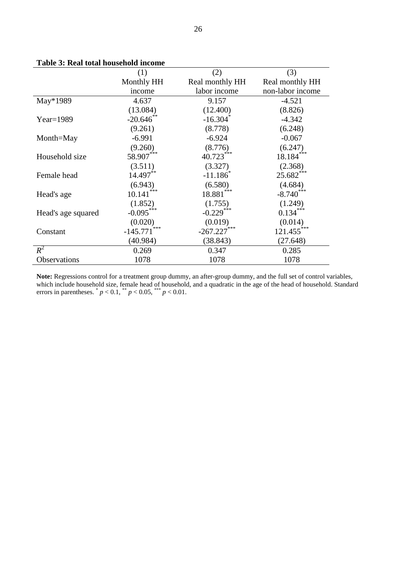|                    | (1)               | (2)                    | (3)              |
|--------------------|-------------------|------------------------|------------------|
|                    | Monthly HH        | Real monthly HH        | Real monthly HH  |
|                    | income            | labor income           | non-labor income |
| May*1989           | 4.637             | 9.157                  | $-4.521$         |
|                    | (13.084)          | (12.400)               | (8.826)          |
| $Year=1989$        | $-20.646$ **      | $-16.304$ <sup>*</sup> | $-4.342$         |
|                    | (9.261)           | (8.778)                | (6.248)          |
| Month=May          | $-6.991$          | $-6.924$               | $-0.067$         |
|                    | (9.260)           | (8.776)                | (6.247)          |
| Household size     | 58.907***         | 40.723***              | $18.184***$      |
|                    | (3.511)           | (3.327)                | (2.368)          |
| Female head        | 14.497**          | $-11.186$ <sup>*</sup> | 25.682***        |
|                    | (6.943)           | (6.580)                | (4.684)          |
| Head's age         | ***<br>10.141     | $18.881***$            | $-8.740***$      |
|                    | (1.852)           | (1.755)                | (1.249)          |
| Head's age squared | $-0.095***$       | $-0.229***$            | $0.134***$       |
|                    | (0.020)           | (0.019)                | (0.014)          |
| Constant           | ***<br>$-145.771$ | $-267.227$ ***         | $121.455***$     |
|                    | (40.984)          | (38.843)               | (27.648)         |
| $R^2$              | 0.269             | 0.347                  | 0.285            |
| Observations       | 1078              | 1078                   | 1078             |

**Table 3: Real total household income**

**Note:** Regressions control for a treatment group dummy, an after-group dummy, and the full set of control variables, which include household size, female head of household, and a quadratic in the age of the head of household. Standard errors in parentheses.  $p < 0.1$ ,  $p < 0.05$ ,  $p < 0.01$ .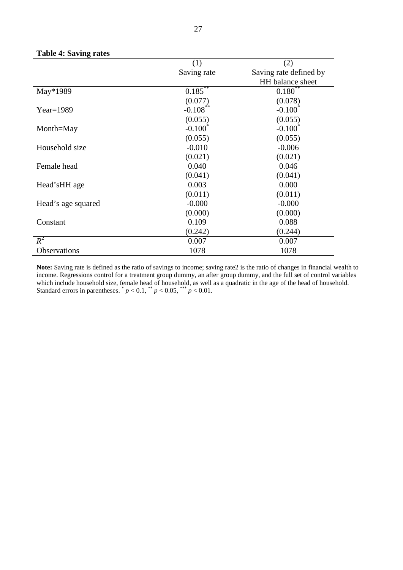|                    | (1)                | (2)                    |
|--------------------|--------------------|------------------------|
|                    | Saving rate        | Saving rate defined by |
|                    |                    | HH balance sheet       |
| May*1989           | $0.185***$         | $0.180^{**}$           |
|                    | (0.077)            | (0.078)                |
| $Year=1989$        | $-0.108***$        | $-0.100^*$             |
|                    | (0.055)            | (0.055)                |
| Month=May          | $-0.100^{\degree}$ | $-0.100^{\degree}$     |
|                    | (0.055)            | (0.055)                |
| Household size     | $-0.010$           | $-0.006$               |
|                    | (0.021)            | (0.021)                |
| Female head        | 0.040              | 0.046                  |
|                    | (0.041)            | (0.041)                |
| Head'sHH age       | 0.003              | 0.000                  |
|                    | (0.011)            | (0.011)                |
| Head's age squared | $-0.000$           | $-0.000$               |
|                    | (0.000)            | (0.000)                |
| Constant           | 0.109              | 0.088                  |
|                    | (0.242)            | (0.244)                |
| $R^2$              | 0.007              | 0.007                  |
| Observations       | 1078               | 1078                   |

#### **Table 4: Saving rates**

**Note:** Saving rate is defined as the ratio of savings to income; saving rate2 is the ratio of changes in financial wealth to income. Regressions control for a treatment group dummy, an after group dummy, and the full set of control variables which include household size, female head of household, as well as a quadratic in the age of the head of household. Standard errors in parentheses.  $p < 0.1$ ,  $p < 0.05$ ,  $p < 0.01$ .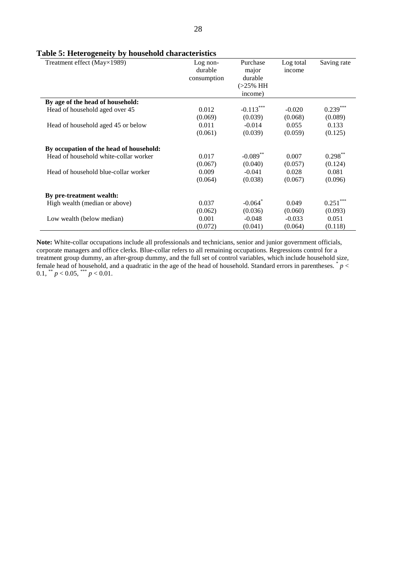#### **Table 5: Heterogeneity by household characteristics**

| o<br>Treatment effect (May×1989)        | $Log non-$<br>durable<br>consumption | Purchase<br>major<br>durable<br>$(>25\%$ HH<br>income) | Log total<br>income | Saving rate |
|-----------------------------------------|--------------------------------------|--------------------------------------------------------|---------------------|-------------|
| By age of the head of household:        |                                      |                                                        |                     |             |
| Head of household aged over 45          | 0.012                                | $-0.113***$                                            | $-0.020$            | $0.239***$  |
|                                         | (0.069)                              | (0.039)                                                | (0.068)             | (0.089)     |
| Head of household aged 45 or below      | 0.011                                | $-0.014$                                               | 0.055               | 0.133       |
|                                         | (0.061)                              | (0.039)                                                | (0.059)             | (0.125)     |
| By occupation of the head of household: |                                      |                                                        |                     |             |
| Head of household white-collar worker   | 0.017                                | $-0.089**$                                             | 0.007               | $0.298***$  |
|                                         | (0.067)                              | (0.040)                                                | (0.057)             | (0.124)     |
| Head of household blue-collar worker    | 0.009                                | $-0.041$                                               | 0.028               | 0.081       |
|                                         | (0.064)                              | (0.038)                                                | (0.067)             | (0.096)     |
| By pre-treatment wealth:                |                                      |                                                        |                     |             |
| High wealth (median or above)           | 0.037                                | $-0.064$ <sup>*</sup>                                  | 0.049               | $0.251***$  |
|                                         | (0.062)                              | (0.036)                                                | (0.060)             | (0.093)     |
| Low wealth (below median)               | 0.001                                | $-0.048$                                               | $-0.033$            | 0.051       |
|                                         | (0.072)                              | (0.041)                                                | (0.064)             | (0.118)     |

**Note:** White-collar occupations include all professionals and technicians, senior and junior government officials, corporate managers and office clerks. Blue-collar refers to all remaining occupations. Regressions control for a treatment group dummy, an after-group dummy, and the full set of control variables, which include household size, female head of household, and a quadratic in the age of the head of household. Standard errors in parentheses.  $p <$ 0.1, \*\*  $p < 0.05$ , \*\*\*  $p < 0.01$ .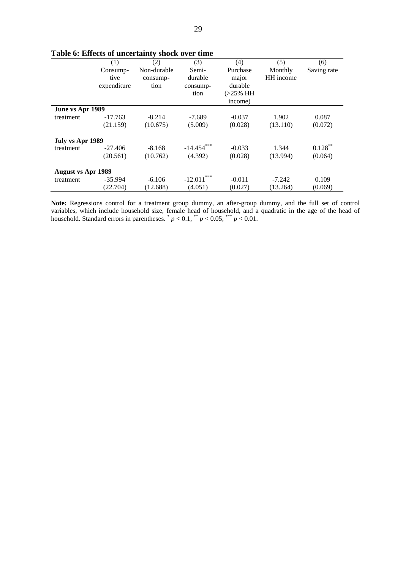|                           |             | Table v. Effects of uncertainty shock over third |              |             |           |             |
|---------------------------|-------------|--------------------------------------------------|--------------|-------------|-----------|-------------|
|                           | (1)         | (2)                                              | (3)          | (4)         | (5)       | (6)         |
|                           | Consump-    | Non-durable                                      | Semi-        | Purchase    | Monthly   | Saving rate |
|                           | tive        | consump-                                         | durable      | major       | HH income |             |
|                           | expenditure | tion                                             | consump-     | durable     |           |             |
|                           |             |                                                  | tion         | $(>25\%$ HH |           |             |
|                           |             |                                                  |              | income)     |           |             |
| June vs Apr 1989          |             |                                                  |              |             |           |             |
| treatment                 | $-17.763$   | $-8.214$                                         | $-7.689$     | $-0.037$    | 1.902     | 0.087       |
|                           | (21.159)    | (10.675)                                         | (5.009)      | (0.028)     | (13.110)  | (0.072)     |
| July vs Apr 1989          |             |                                                  |              |             |           |             |
| treatment                 | $-27.406$   | $-8.168$                                         | $-14.454***$ | $-0.033$    | 1.344     | $0.128***$  |
|                           | (20.561)    | (10.762)                                         | (4.392)      | (0.028)     | (13.994)  | (0.064)     |
| <b>August vs Apr 1989</b> |             |                                                  |              |             |           |             |
| treatment                 | $-35.994$   | $-6.106$                                         | $-12.011$    | $-0.011$    | $-7.242$  | 0.109       |
|                           | (22.704)    | (12.688)                                         | (4.051)      | (0.027)     | (13.264)  | (0.069)     |

#### **Table 6: Effects of uncertainty shock over time**

Note: Regressions control for a treatment group dummy, an after-group dummy, and the full set of control variables, which include household size, female head of household, and a quadratic in the age of the head of household. Standard errors in parentheses. \* *p* < 0.1, \*\* *p* < 0.05, \*\*\* *p* < 0.01.